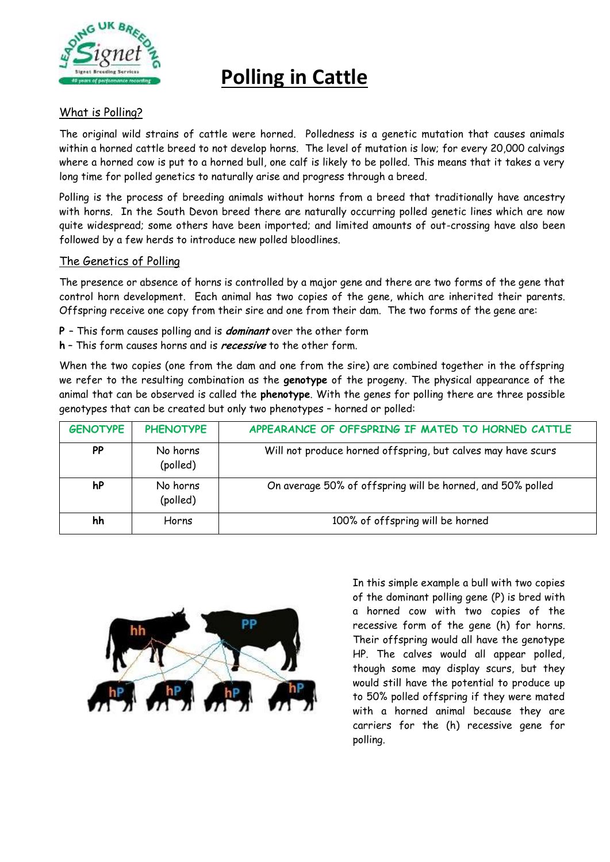

# **Polling in Cattle**

## What is Polling?

The original wild strains of cattle were horned. Polledness is a genetic mutation that causes animals within a horned cattle breed to not develop horns. The level of mutation is low; for every 20,000 calvings where a horned cow is put to a horned bull, one calf is likely to be polled. This means that it takes a very long time for polled genetics to naturally arise and progress through a breed.

Polling is the process of breeding animals without horns from a breed that traditionally have ancestry with horns. In the South Devon breed there are naturally occurring polled genetic lines which are now quite widespread; some others have been imported; and limited amounts of out-crossing have also been followed by a few herds to introduce new polled bloodlines.

## The Genetics of Polling

The presence or absence of horns is controlled by a major gene and there are two forms of the gene that control horn development. Each animal has two copies of the gene, which are inherited their parents. Offspring receive one copy from their sire and one from their dam. The two forms of the gene are:

- **P** This form causes polling and is **dominant** over the other form
- **h** This form causes horns and is **recessive** to the other form.

When the two copies (one from the dam and one from the sire) are combined together in the offspring we refer to the resulting combination as the **genotype** of the progeny. The physical appearance of the animal that can be observed is called the **phenotype**. With the genes for polling there are three possible genotypes that can be created but only two phenotypes – horned or polled:

| <b>GENOTYPE</b> | <b>PHENOTYPE</b>     | APPEARANCE OF OFFSPRING IF MATED TO HORNED CATTLE            |
|-----------------|----------------------|--------------------------------------------------------------|
| <b>PP</b>       | No horns<br>(polled) | Will not produce horned offspring, but calves may have scurs |
| hP              | No horns<br>(polled) | On average 50% of offspring will be horned, and 50% polled   |
| hh              | Horns                | 100% of offspring will be horned                             |



In this simple example a bull with two copies of the dominant polling gene (P) is bred with a horned cow with two copies of the recessive form of the gene (h) for horns. Their offspring would all have the genotype HP. The calves would all appear polled, though some may display scurs, but they would still have the potential to produce up to 50% polled offspring if they were mated with a horned animal because they are carriers for the (h) recessive gene for polling.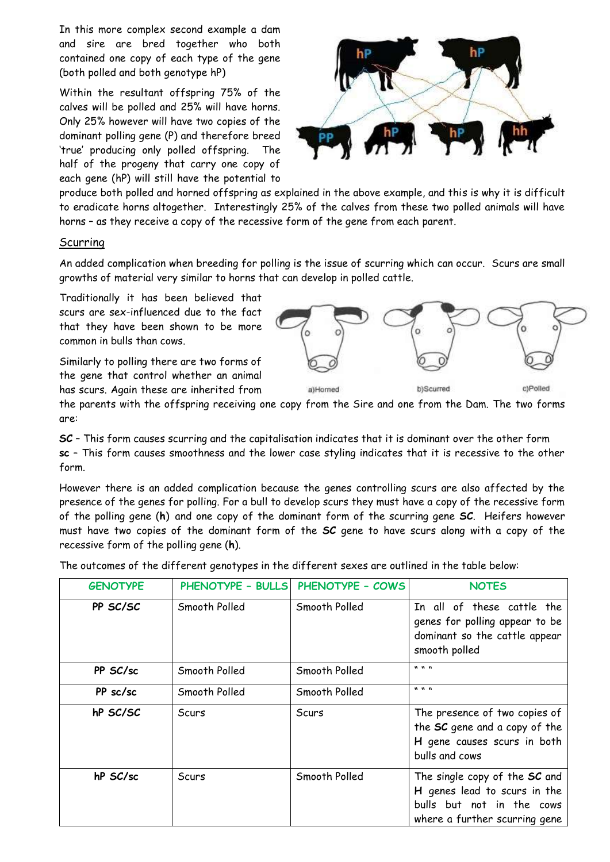In this more complex second example a dam and sire are bred together who both contained one copy of each type of the gene (both polled and both genotype hP)

Within the resultant offspring 75% of the calves will be polled and 25% will have horns. Only 25% however will have two copies of the dominant polling gene (P) and therefore breed 'true' producing only polled offspring. The half of the progeny that carry one copy of each gene (hP) will still have the potential to



produce both polled and horned offspring as explained in the above example, and this is why it is difficult to eradicate horns altogether. Interestingly 25% of the calves from these two polled animals will have horns – as they receive a copy of the recessive form of the gene from each parent.

#### Scurring

An added complication when breeding for polling is the issue of scurring which can occur. Scurs are small growths of material very similar to horns that can develop in polled cattle.

Traditionally it has been believed that scurs are sex-influenced due to the fact that they have been shown to be more common in bulls than cows.

Similarly to polling there are two forms of the gene that control whether an animal has scurs. Again these are inherited from



the parents with the offspring receiving one copy from the Sire and one from the Dam. The two forms are:

**SC** – This form causes scurring and the capitalisation indicates that it is dominant over the other form **sc** – This form causes smoothness and the lower case styling indicates that it is recessive to the other form.

However there is an added complication because the genes controlling scurs are also affected by the presence of the genes for polling. For a bull to develop scurs they must have a copy of the recessive form of the polling gene (**h**) and one copy of the dominant form of the scurring gene **SC**. Heifers however must have two copies of the dominant form of the **SC** gene to have scurs along with a copy of the recessive form of the polling gene (**h**).

The outcomes of the different genotypes in the different sexes are outlined in the table below:

| <b>GENOTYPE</b> |               | PHENOTYPE - BULLS PHENOTYPE - COWS | <b>NOTES</b>                                                                                                                |
|-----------------|---------------|------------------------------------|-----------------------------------------------------------------------------------------------------------------------------|
| PP SC/SC        | Smooth Polled | Smooth Polled                      | In all of these cattle the<br>genes for polling appear to be<br>dominant so the cattle appear<br>smooth polled              |
| PP SC/sc        | Smooth Polled | Smooth Polled                      | $\mathbf{u}$ $\mathbf{u}$ $\mathbf{u}$                                                                                      |
| PP sc/sc        | Smooth Polled | Smooth Polled                      | $\mathbf{u}$ $\mathbf{u}$ $\mathbf{u}$                                                                                      |
| hP SC/SC        | Scurs         | Scurs                              | The presence of two copies of<br>the SC gene and a copy of the<br>H gene causes scurs in both<br>bulls and cows             |
| hP SC/sc        | Scurs         | Smooth Polled                      | The single copy of the SC and<br>H genes lead to scurs in the<br>bulls but not in the cows<br>where a further scurring gene |